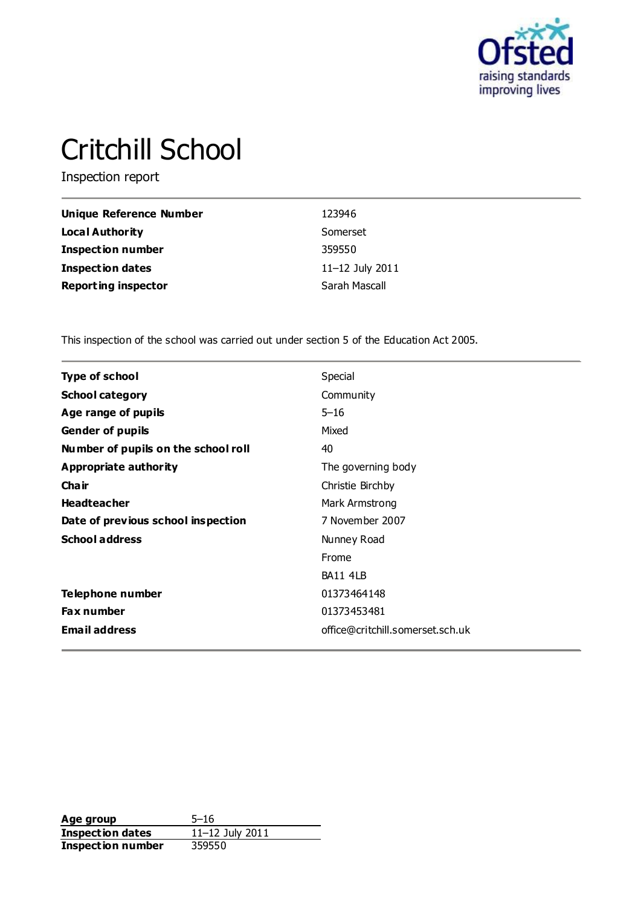

# Critchill School

Inspection report

| Unique Reference Number    | 123946          |
|----------------------------|-----------------|
| <b>Local Authority</b>     | Somerset        |
| <b>Inspection number</b>   | 359550          |
| <b>Inspection dates</b>    | 11-12 July 2011 |
| <b>Reporting inspector</b> | Sarah Mascall   |

This inspection of the school was carried out under section 5 of the Education Act 2005.

| <b>Type of school</b>               | Special                          |
|-------------------------------------|----------------------------------|
| <b>School category</b>              | Community                        |
| Age range of pupils                 | $5 - 16$                         |
| <b>Gender of pupils</b>             | Mixed                            |
| Number of pupils on the school roll | 40                               |
| <b>Appropriate authority</b>        | The governing body               |
| Cha ir                              | Christie Birchby                 |
| <b>Headteacher</b>                  | Mark Armstrong                   |
| Date of previous school inspection  | 7 November 2007                  |
| <b>School address</b>               | Nunney Road                      |
|                                     | Frome                            |
|                                     | BA11 4LB                         |
| Telephone number                    | 01373464148                      |
| <b>Fax number</b>                   | 01373453481                      |
| <b>Email address</b>                | office@critchill.somerset.sch.uk |
|                                     |                                  |

**Age group** 5-16<br> **Inspection dates** 11-12 July 2011 **Inspection dates** 11–12 July 2011 **Inspection number** 359550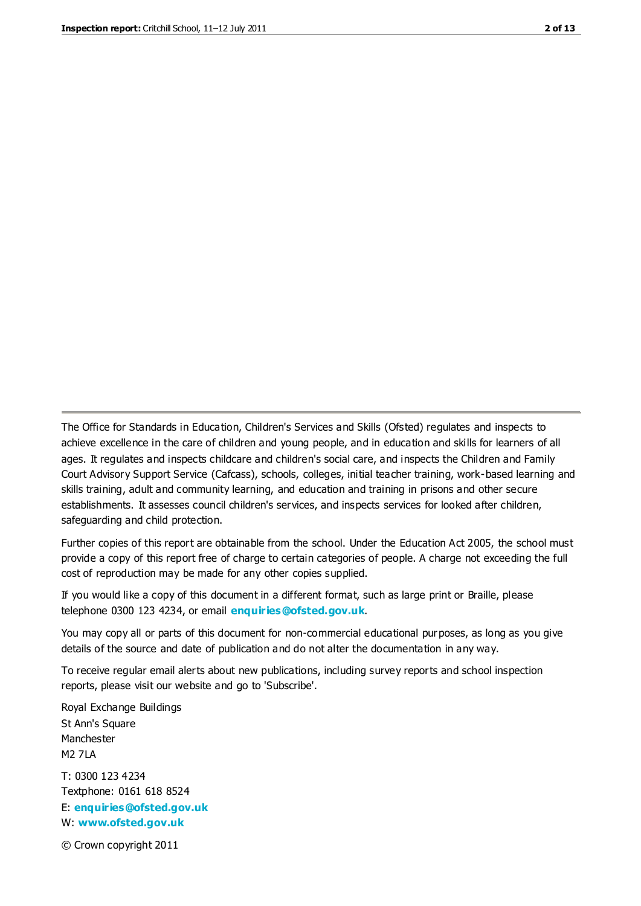The Office for Standards in Education, Children's Services and Skills (Ofsted) regulates and inspects to achieve excellence in the care of children and young people, and in education and skills for learners of all ages. It regulates and inspects childcare and children's social care, and inspects the Children and Family Court Advisory Support Service (Cafcass), schools, colleges, initial teacher training, work-based learning and skills training, adult and community learning, and education and training in prisons and other secure establishments. It assesses council children's services, and inspects services for looked after children, safeguarding and child protection.

Further copies of this report are obtainable from the school. Under the Education Act 2005, the school must provide a copy of this report free of charge to certain categories of people. A charge not exceeding the full cost of reproduction may be made for any other copies supplied.

If you would like a copy of this document in a different format, such as large print or Braille, please telephone 0300 123 4234, or email **[enquiries@ofsted.gov.uk](mailto:enquiries@ofsted.gov.uk)**.

You may copy all or parts of this document for non-commercial educational purposes, as long as you give details of the source and date of publication and do not alter the documentation in any way.

To receive regular email alerts about new publications, including survey reports and school inspection reports, please visit our website and go to 'Subscribe'.

Royal Exchange Buildings St Ann's Square Manchester M2 7LA T: 0300 123 4234 Textphone: 0161 618 8524 E: **[enquiries@ofsted.gov.uk](mailto:enquiries@ofsted.gov.uk)**

W: **[www.ofsted.gov.uk](http://www.ofsted.gov.uk/)**

© Crown copyright 2011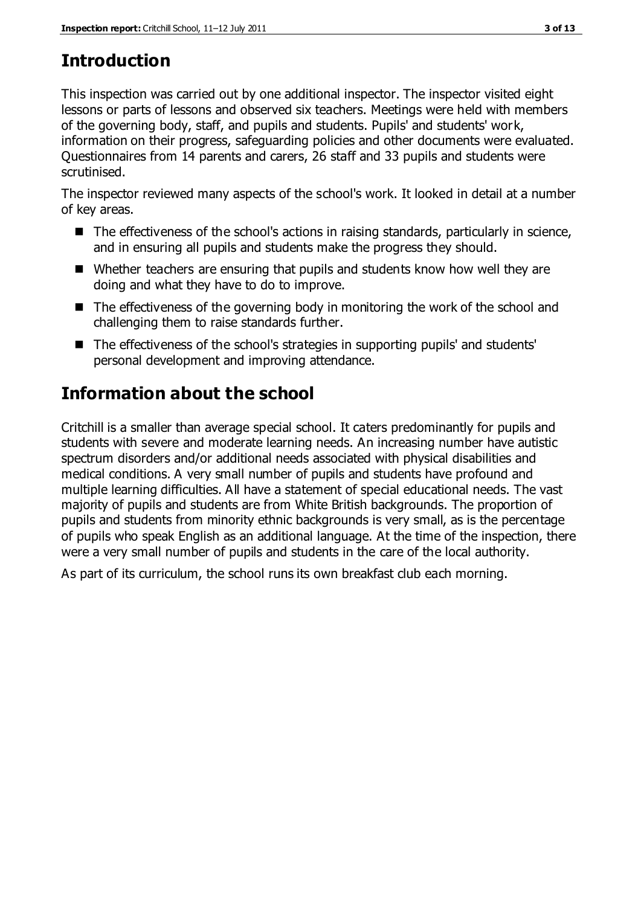# **Introduction**

This inspection was carried out by one additional inspector. The inspector visited eight lessons or parts of lessons and observed six teachers. Meetings were held with members of the governing body, staff, and pupils and students. Pupils' and students' work, information on their progress, safeguarding policies and other documents were evaluated. Questionnaires from 14 parents and carers, 26 staff and 33 pupils and students were scrutinised.

The inspector reviewed many aspects of the school's work. It looked in detail at a number of key areas.

- The effectiveness of the school's actions in raising standards, particularly in science, and in ensuring all pupils and students make the progress they should.
- Whether teachers are ensuring that pupils and students know how well they are doing and what they have to do to improve.
- $\blacksquare$  The effectiveness of the governing body in monitoring the work of the school and challenging them to raise standards further.
- The effectiveness of the school's strategies in supporting pupils' and students' personal development and improving attendance.

# **Information about the school**

Critchill is a smaller than average special school. It caters predominantly for pupils and students with severe and moderate learning needs. An increasing number have autistic spectrum disorders and/or additional needs associated with physical disabilities and medical conditions. A very small number of pupils and students have profound and multiple learning difficulties. All have a statement of special educational needs. The vast majority of pupils and students are from White British backgrounds. The proportion of pupils and students from minority ethnic backgrounds is very small, as is the percentage of pupils who speak English as an additional language. At the time of the inspection, there were a very small number of pupils and students in the care of the local authority.

As part of its curriculum, the school runs its own breakfast club each morning.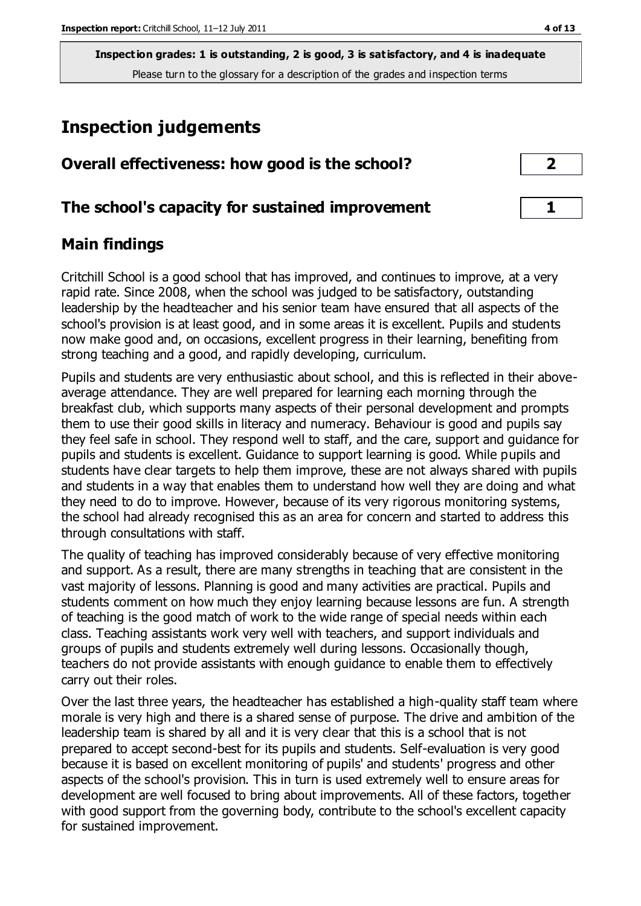# **Inspection judgements**

| Overall effectiveness: how good is the school?  |  |
|-------------------------------------------------|--|
| The school's capacity for sustained improvement |  |

## **Main findings**

Critchill School is a good school that has improved, and continues to improve, at a very rapid rate. Since 2008, when the school was judged to be satisfactory, outstanding leadership by the headteacher and his senior team have ensured that all aspects of the school's provision is at least good, and in some areas it is excellent. Pupils and students now make good and, on occasions, excellent progress in their learning, benefiting from strong teaching and a good, and rapidly developing, curriculum.

Pupils and students are very enthusiastic about school, and this is reflected in their aboveaverage attendance. They are well prepared for learning each morning through the breakfast club, which supports many aspects of their personal development and prompts them to use their good skills in literacy and numeracy. Behaviour is good and pupils say they feel safe in school. They respond well to staff, and the care, support and guidance for pupils and students is excellent. Guidance to support learning is good. While pupils and students have clear targets to help them improve, these are not always shared with pupils and students in a way that enables them to understand how well they are doing and what they need to do to improve. However, because of its very rigorous monitoring systems, the school had already recognised this as an area for concern and started to address this through consultations with staff.

The quality of teaching has improved considerably because of very effective monitoring and support. As a result, there are many strengths in teaching that are consistent in the vast majority of lessons. Planning is good and many activities are practical. Pupils and students comment on how much they enjoy learning because lessons are fun. A strength of teaching is the good match of work to the wide range of special needs within each class. Teaching assistants work very well with teachers, and support individuals and groups of pupils and students extremely well during lessons. Occasionally though, teachers do not provide assistants with enough guidance to enable them to effectively carry out their roles.

Over the last three years, the headteacher has established a high-quality staff team where morale is very high and there is a shared sense of purpose. The drive and ambition of the leadership team is shared by all and it is very clear that this is a school that is not prepared to accept second-best for its pupils and students. Self-evaluation is very good because it is based on excellent monitoring of pupils' and students' progress and other aspects of the school's provision. This in turn is used extremely well to ensure areas for development are well focused to bring about improvements. All of these factors, together with good support from the governing body, contribute to the school's excellent capacity for sustained improvement.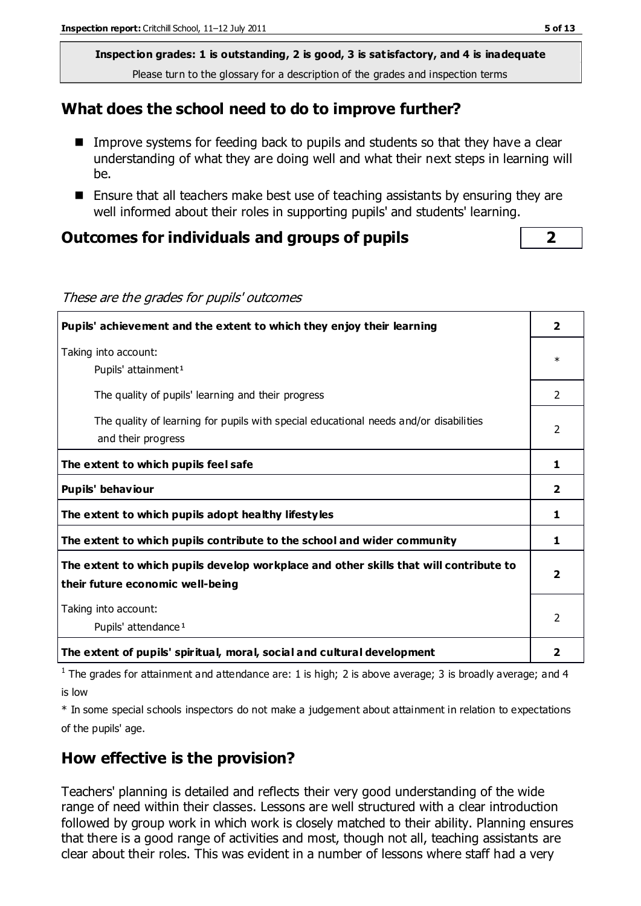#### **What does the school need to do to improve further?**

- Improve systems for feeding back to pupils and students so that they have a clear understanding of what they are doing well and what their next steps in learning will be.
- **Ensure that all teachers make best use of teaching assistants by ensuring they are** well informed about their roles in supporting pupils' and students' learning.

#### **Outcomes for individuals and groups of pupils 2**

| Pupils' achievement and the extent to which they enjoy their learning                                                                                                                                                             |                |  |
|-----------------------------------------------------------------------------------------------------------------------------------------------------------------------------------------------------------------------------------|----------------|--|
| Taking into account:<br>Pupils' attainment <sup>1</sup>                                                                                                                                                                           | $\ast$         |  |
| The quality of pupils' learning and their progress                                                                                                                                                                                | $\mathcal{P}$  |  |
| The quality of learning for pupils with special educational needs and/or disabilities<br>and their progress                                                                                                                       | 2              |  |
| The extent to which pupils feel safe                                                                                                                                                                                              | 1              |  |
| Pupils' behaviour                                                                                                                                                                                                                 | $\overline{2}$ |  |
| The extent to which pupils adopt healthy lifestyles                                                                                                                                                                               | 1              |  |
| The extent to which pupils contribute to the school and wider community                                                                                                                                                           | 1              |  |
| The extent to which pupils develop workplace and other skills that will contribute to<br>their future economic well-being                                                                                                         | 2              |  |
| Taking into account:<br>Pupils' attendance <sup>1</sup>                                                                                                                                                                           |                |  |
| The extent of pupils' spiritual, moral, social and cultural development                                                                                                                                                           | $\overline{2}$ |  |
| $\frac{1}{2}$ . The state of the state of the state of the state of the state of the state of the state of the state of the state of the state of the state of the state of the state of the state of the state of the state of t |                |  |

<sup>1</sup> The grades for attainment and attendance are: 1 is high; 2 is above average; 3 is broadly average; and 4

is low

\* In some special schools inspectors do not make a judgement about attainment in relation to expectations of the pupils' age.

## **How effective is the provision?**

Teachers' planning is detailed and reflects their very good understanding of the wide range of need within their classes. Lessons are well structured with a clear introduction followed by group work in which work is closely matched to their ability. Planning ensures that there is a good range of activities and most, though not all, teaching assistants are clear about their roles. This was evident in a number of lessons where staff had a very

These are the grades for pupils' outcomes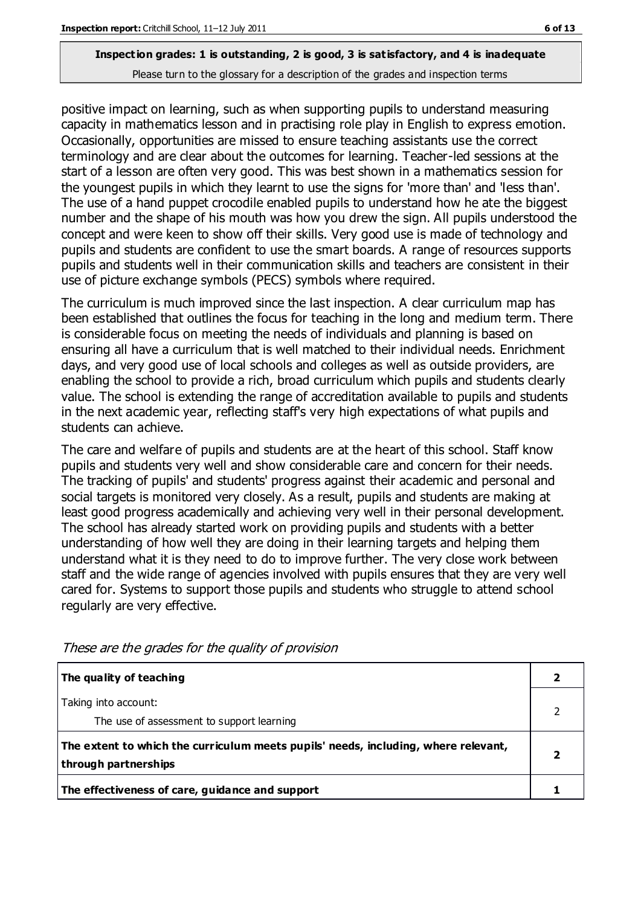positive impact on learning, such as when supporting pupils to understand measuring capacity in mathematics lesson and in practising role play in English to express emotion. Occasionally, opportunities are missed to ensure teaching assistants use the correct terminology and are clear about the outcomes for learning. Teacher-led sessions at the start of a lesson are often very good. This was best shown in a mathematics session for the youngest pupils in which they learnt to use the signs for 'more than' and 'less than'. The use of a hand puppet crocodile enabled pupils to understand how he ate the biggest number and the shape of his mouth was how you drew the sign. All pupils understood the concept and were keen to show off their skills. Very good use is made of technology and pupils and students are confident to use the smart boards. A range of resources supports pupils and students well in their communication skills and teachers are consistent in their use of picture exchange symbols (PECS) symbols where required.

The curriculum is much improved since the last inspection. A clear curriculum map has been established that outlines the focus for teaching in the long and medium term. There is considerable focus on meeting the needs of individuals and planning is based on ensuring all have a curriculum that is well matched to their individual needs. Enrichment days, and very good use of local schools and colleges as well as outside providers, are enabling the school to provide a rich, broad curriculum which pupils and students clearly value. The school is extending the range of accreditation available to pupils and students in the next academic year, reflecting staff's very high expectations of what pupils and students can achieve.

The care and welfare of pupils and students are at the heart of this school. Staff know pupils and students very well and show considerable care and concern for their needs. The tracking of pupils' and students' progress against their academic and personal and social targets is monitored very closely. As a result, pupils and students are making at least good progress academically and achieving very well in their personal development. The school has already started work on providing pupils and students with a better understanding of how well they are doing in their learning targets and helping them understand what it is they need to do to improve further. The very close work between staff and the wide range of agencies involved with pupils ensures that they are very well cared for. Systems to support those pupils and students who struggle to attend school regularly are very effective.

| The quality of teaching                                                            |  |
|------------------------------------------------------------------------------------|--|
| Taking into account:                                                               |  |
| The use of assessment to support learning                                          |  |
| The extent to which the curriculum meets pupils' needs, including, where relevant, |  |
| through partnerships                                                               |  |
| The effectiveness of care, guidance and support                                    |  |

These are the grades for the quality of provision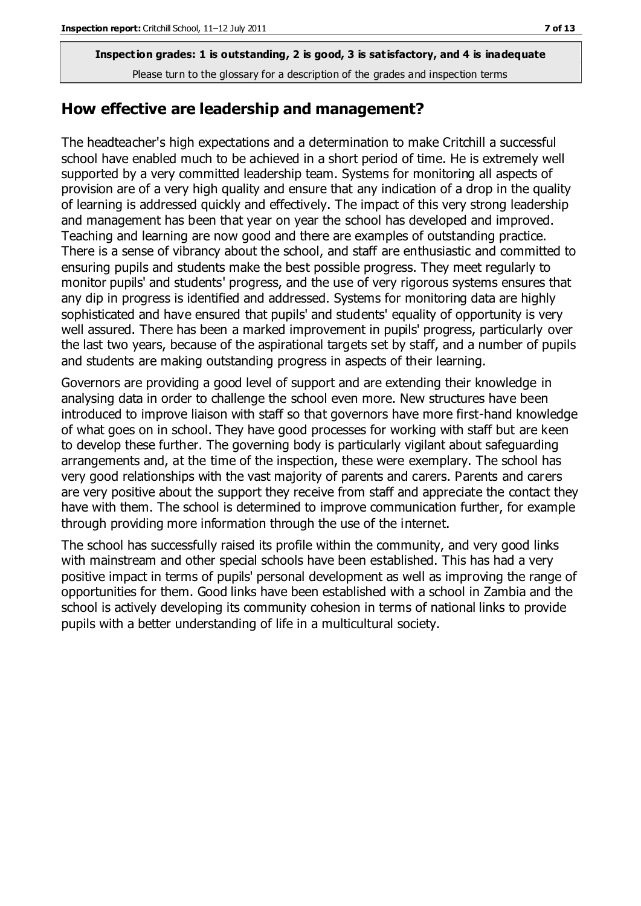#### **How effective are leadership and management?**

The headteacher's high expectations and a determination to make Critchill a successful school have enabled much to be achieved in a short period of time. He is extremely well supported by a very committed leadership team. Systems for monitoring all aspects of provision are of a very high quality and ensure that any indication of a drop in the quality of learning is addressed quickly and effectively. The impact of this very strong leadership and management has been that year on year the school has developed and improved. Teaching and learning are now good and there are examples of outstanding practice. There is a sense of vibrancy about the school, and staff are enthusiastic and committed to ensuring pupils and students make the best possible progress. They meet regularly to monitor pupils' and students' progress, and the use of very rigorous systems ensures that any dip in progress is identified and addressed. Systems for monitoring data are highly sophisticated and have ensured that pupils' and students' equality of opportunity is very well assured. There has been a marked improvement in pupils' progress, particularly over the last two years, because of the aspirational targets set by staff, and a number of pupils and students are making outstanding progress in aspects of their learning.

Governors are providing a good level of support and are extending their knowledge in analysing data in order to challenge the school even more. New structures have been introduced to improve liaison with staff so that governors have more first-hand knowledge of what goes on in school. They have good processes for working with staff but are keen to develop these further. The governing body is particularly vigilant about safeguarding arrangements and, at the time of the inspection, these were exemplary. The school has very good relationships with the vast majority of parents and carers. Parents and carers are very positive about the support they receive from staff and appreciate the contact they have with them. The school is determined to improve communication further, for example through providing more information through the use of the internet.

The school has successfully raised its profile within the community, and very good links with mainstream and other special schools have been established. This has had a very positive impact in terms of pupils' personal development as well as improving the range of opportunities for them. Good links have been established with a school in Zambia and the school is actively developing its community cohesion in terms of national links to provide pupils with a better understanding of life in a multicultural society.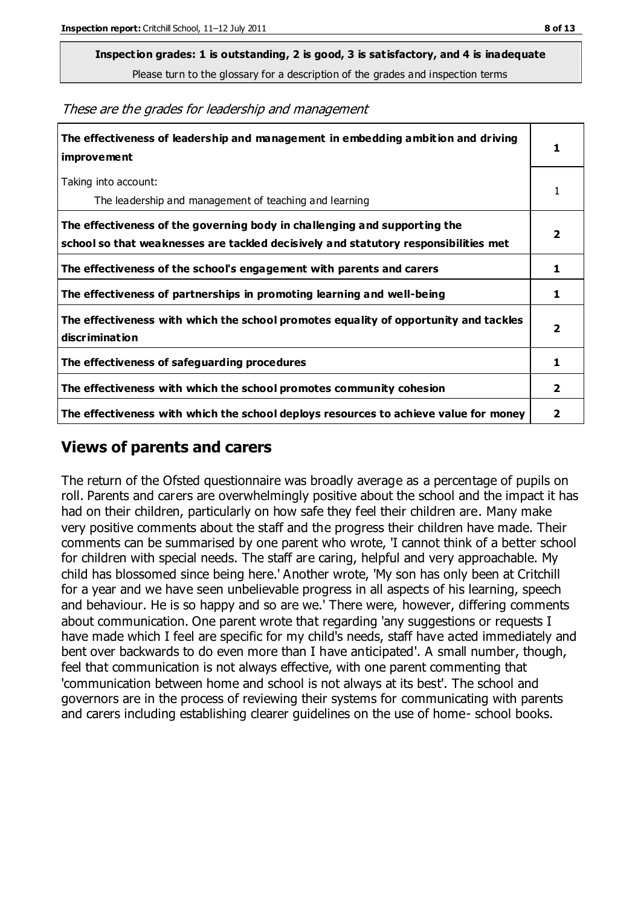**Inspection grades: 1 is outstanding, 2 is good, 3 is satisfactory, and 4 is inadequate**

Please turn to the glossary for a description of the grades and inspection terms

These are the grades for leadership and management

| The effectiveness of leadership and management in embedding ambition and driving<br>improvement                                                                  |                         |
|------------------------------------------------------------------------------------------------------------------------------------------------------------------|-------------------------|
| Taking into account:<br>The leadership and management of teaching and learning                                                                                   |                         |
| The effectiveness of the governing body in challenging and supporting the<br>school so that weaknesses are tackled decisively and statutory responsibilities met | 2                       |
| The effectiveness of the school's engagement with parents and carers                                                                                             | 1                       |
| The effectiveness of partnerships in promoting learning and well-being                                                                                           | 1                       |
| The effectiveness with which the school promotes equality of opportunity and tackles<br>discrimination                                                           | $\overline{\mathbf{2}}$ |
| The effectiveness of safeguarding procedures                                                                                                                     | 1                       |
| The effectiveness with which the school promotes community cohesion                                                                                              |                         |
| The effectiveness with which the school deploys resources to achieve value for money                                                                             | 2                       |

#### **Views of parents and carers**

The return of the Ofsted questionnaire was broadly average as a percentage of pupils on roll. Parents and carers are overwhelmingly positive about the school and the impact it has had on their children, particularly on how safe they feel their children are. Many make very positive comments about the staff and the progress their children have made. Their comments can be summarised by one parent who wrote, 'I cannot think of a better school for children with special needs. The staff are caring, helpful and very approachable. My child has blossomed since being here.' Another wrote, 'My son has only been at Critchill for a year and we have seen unbelievable progress in all aspects of his learning, speech and behaviour. He is so happy and so are we.' There were, however, differing comments about communication. One parent wrote that regarding 'any suggestions or requests I have made which I feel are specific for my child's needs, staff have acted immediately and bent over backwards to do even more than I have anticipated'. A small number, though, feel that communication is not always effective, with one parent commenting that 'communication between home and school is not always at its best'. The school and governors are in the process of reviewing their systems for communicating with parents and carers including establishing clearer guidelines on the use of home- school books.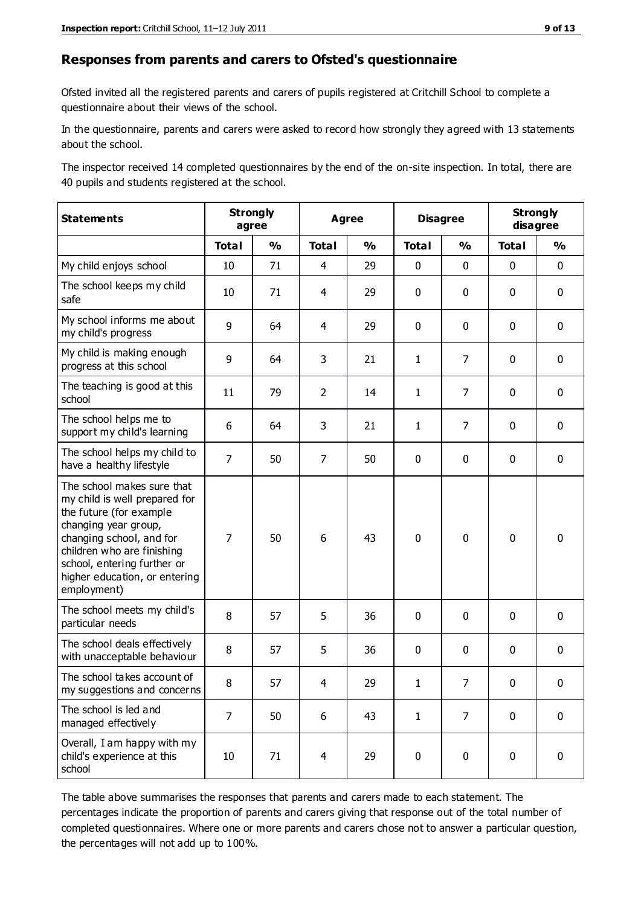#### **Responses from parents and carers to Ofsted's questionnaire**

Ofsted invited all the registered parents and carers of pupils registered at Critchill School to complete a questionnaire about their views of the school.

In the questionnaire, parents and carers were asked to record how strongly they agreed with 13 statements about the school.

The inspector received 14 completed questionnaires by the end of the on-site inspection. In total, there are 40 pupils and students registered at the school.

| <b>Statements</b>                                                                                                                                                                                                                                       | <b>Strongly</b><br>agree |               | <b>Agree</b>   |               | <b>Disagree</b> |                | <b>Strongly</b><br>disagree |               |
|---------------------------------------------------------------------------------------------------------------------------------------------------------------------------------------------------------------------------------------------------------|--------------------------|---------------|----------------|---------------|-----------------|----------------|-----------------------------|---------------|
|                                                                                                                                                                                                                                                         | <b>Total</b>             | $\frac{1}{2}$ | <b>Total</b>   | $\frac{1}{2}$ | <b>Total</b>    | $\frac{1}{2}$  | <b>Total</b>                | $\frac{0}{0}$ |
| My child enjoys school                                                                                                                                                                                                                                  | 10                       | 71            | $\overline{4}$ | 29            | 0               | $\mathbf 0$    | $\mathbf 0$                 | $\mathbf 0$   |
| The school keeps my child<br>safe                                                                                                                                                                                                                       | 10                       | 71            | 4              | 29            | 0               | $\mathbf 0$    | $\mathbf 0$                 | $\mathbf 0$   |
| My school informs me about<br>my child's progress                                                                                                                                                                                                       | 9                        | 64            | 4              | 29            | 0               | $\mathbf 0$    | $\mathbf 0$                 | $\mathbf 0$   |
| My child is making enough<br>progress at this school                                                                                                                                                                                                    | 9                        | 64            | 3              | 21            | $\mathbf{1}$    | $\overline{7}$ | $\mathbf 0$                 | $\mathbf 0$   |
| The teaching is good at this<br>school                                                                                                                                                                                                                  | 11                       | 79            | $\overline{2}$ | 14            | 1               | 7              | $\mathbf 0$                 | $\mathbf 0$   |
| The school helps me to<br>support my child's learning                                                                                                                                                                                                   | 6                        | 64            | 3              | 21            | 1               | 7              | $\mathbf 0$                 | $\mathbf 0$   |
| The school helps my child to<br>have a healthy lifestyle                                                                                                                                                                                                | $\overline{7}$           | 50            | $\overline{7}$ | 50            | 0               | 0              | $\mathbf 0$                 | $\mathbf 0$   |
| The school makes sure that<br>my child is well prepared for<br>the future (for example<br>changing year group,<br>changing school, and for<br>children who are finishing<br>school, entering further or<br>higher education, or entering<br>employment) | $\overline{7}$           | 50            | 6              | 43            | $\mathbf 0$     | $\mathbf 0$    | $\mathbf 0$                 | $\mathbf 0$   |
| The school meets my child's<br>particular needs                                                                                                                                                                                                         | 8                        | 57            | 5              | 36            | 0               | $\mathbf 0$    | $\mathbf 0$                 | $\mathbf 0$   |
| The school deals effectively<br>with unacceptable behaviour                                                                                                                                                                                             | 8                        | 57            | 5              | 36            | 0               | 0              | $\mathbf 0$                 | $\pmb{0}$     |
| The school takes account of<br>my suggestions and concerns                                                                                                                                                                                              | 8                        | 57            | 4              | 29            | 1               | $\overline{7}$ | $\Omega$                    | 0             |
| The school is led and<br>managed effectively                                                                                                                                                                                                            | $\overline{7}$           | 50            | 6              | 43            | $\mathbf{1}$    | $\overline{7}$ | $\mathbf 0$                 | $\mathbf 0$   |
| Overall, I am happy with my<br>child's experience at this<br>school                                                                                                                                                                                     | $10\,$                   | 71            | 4              | 29            | 0               | $\mathbf 0$    | $\mathbf 0$                 | $\mathbf 0$   |

The table above summarises the responses that parents and carers made to each statement. The percentages indicate the proportion of parents and carers giving that response out of the total number of completed questionnaires. Where one or more parents and carers chose not to answer a particular question, the percentages will not add up to 100%.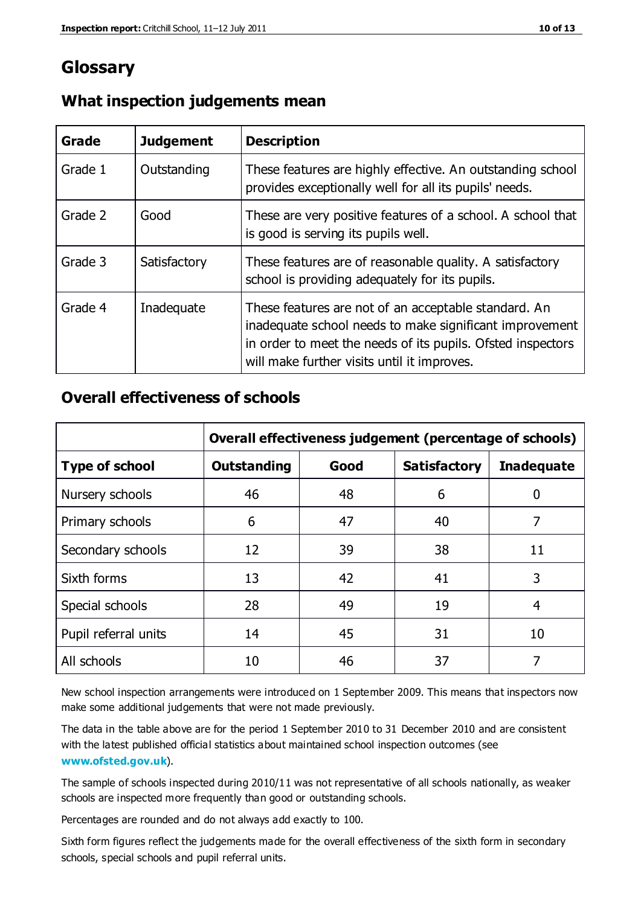# **Glossary**

| Grade   | <b>Judgement</b> | <b>Description</b>                                                                                                                                                                                                            |
|---------|------------------|-------------------------------------------------------------------------------------------------------------------------------------------------------------------------------------------------------------------------------|
| Grade 1 | Outstanding      | These features are highly effective. An outstanding school<br>provides exceptionally well for all its pupils' needs.                                                                                                          |
| Grade 2 | Good             | These are very positive features of a school. A school that<br>is good is serving its pupils well.                                                                                                                            |
| Grade 3 | Satisfactory     | These features are of reasonable quality. A satisfactory<br>school is providing adequately for its pupils.                                                                                                                    |
| Grade 4 | Inadequate       | These features are not of an acceptable standard. An<br>inadequate school needs to make significant improvement<br>in order to meet the needs of its pupils. Ofsted inspectors<br>will make further visits until it improves. |

#### **What inspection judgements mean**

## **Overall effectiveness of schools**

|                       | Overall effectiveness judgement (percentage of schools) |      |                     |                   |
|-----------------------|---------------------------------------------------------|------|---------------------|-------------------|
| <b>Type of school</b> | <b>Outstanding</b>                                      | Good | <b>Satisfactory</b> | <b>Inadequate</b> |
| Nursery schools       | 46                                                      | 48   | 6                   |                   |
| Primary schools       | 6                                                       | 47   | 40                  | 7                 |
| Secondary schools     | 12                                                      | 39   | 38                  | 11                |
| Sixth forms           | 13                                                      | 42   | 41                  | 3                 |
| Special schools       | 28                                                      | 49   | 19                  | 4                 |
| Pupil referral units  | 14                                                      | 45   | 31                  | 10                |
| All schools           | 10                                                      | 46   | 37                  |                   |

New school inspection arrangements were introduced on 1 September 2009. This means that inspectors now make some additional judgements that were not made previously.

The data in the table above are for the period 1 September 2010 to 31 December 2010 and are consistent with the latest published official statistics about maintained school inspection outcomes (see **[www.ofsted.gov.uk](http://www.ofsted.gov.uk/)**).

The sample of schools inspected during 2010/11 was not representative of all schools nationally, as weaker schools are inspected more frequently than good or outstanding schools.

Percentages are rounded and do not always add exactly to 100.

Sixth form figures reflect the judgements made for the overall effectiveness of the sixth form in secondary schools, special schools and pupil referral units.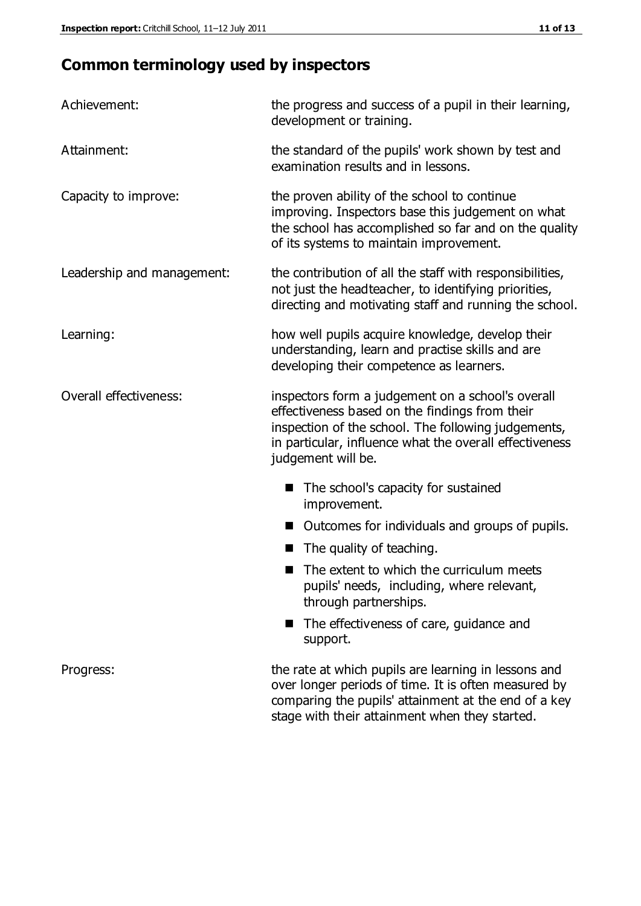# **Common terminology used by inspectors**

| Achievement:               | the progress and success of a pupil in their learning,<br>development or training.                                                                                                                                                          |  |  |
|----------------------------|---------------------------------------------------------------------------------------------------------------------------------------------------------------------------------------------------------------------------------------------|--|--|
| Attainment:                | the standard of the pupils' work shown by test and<br>examination results and in lessons.                                                                                                                                                   |  |  |
| Capacity to improve:       | the proven ability of the school to continue<br>improving. Inspectors base this judgement on what<br>the school has accomplished so far and on the quality<br>of its systems to maintain improvement.                                       |  |  |
| Leadership and management: | the contribution of all the staff with responsibilities,<br>not just the headteacher, to identifying priorities,<br>directing and motivating staff and running the school.                                                                  |  |  |
| Learning:                  | how well pupils acquire knowledge, develop their<br>understanding, learn and practise skills and are<br>developing their competence as learners.                                                                                            |  |  |
| Overall effectiveness:     | inspectors form a judgement on a school's overall<br>effectiveness based on the findings from their<br>inspection of the school. The following judgements,<br>in particular, influence what the overall effectiveness<br>judgement will be. |  |  |
|                            | The school's capacity for sustained<br>improvement.                                                                                                                                                                                         |  |  |
|                            | Outcomes for individuals and groups of pupils.                                                                                                                                                                                              |  |  |
|                            | The quality of teaching.                                                                                                                                                                                                                    |  |  |
|                            | The extent to which the curriculum meets<br>pupils' needs, including, where relevant,<br>through partnerships.                                                                                                                              |  |  |
|                            | The effectiveness of care, guidance and<br>support.                                                                                                                                                                                         |  |  |
| Progress:                  | the rate at which pupils are learning in lessons and<br>over longer periods of time. It is often measured by<br>comparing the pupils' attainment at the end of a key                                                                        |  |  |

stage with their attainment when they started.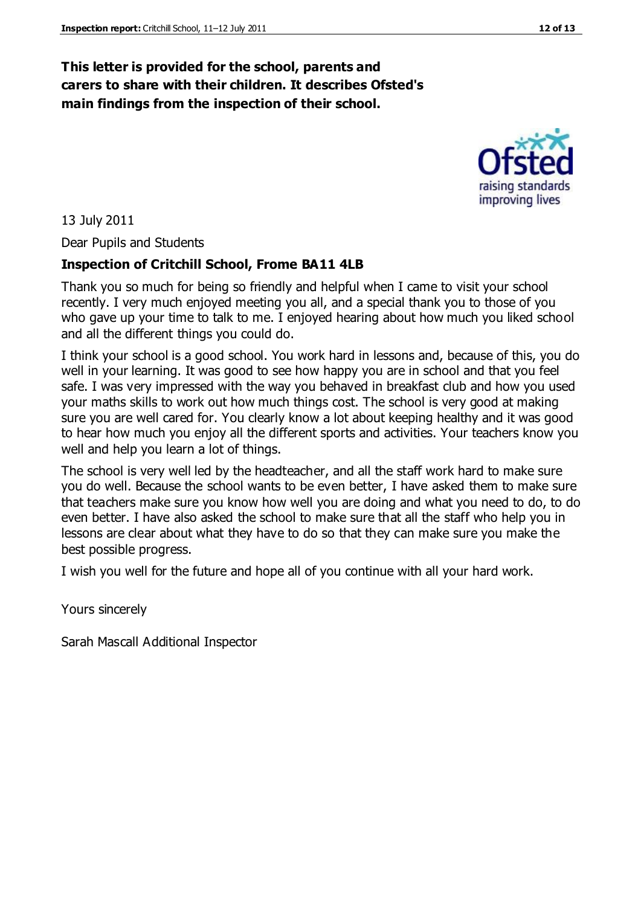## **This letter is provided for the school, parents and carers to share with their children. It describes Ofsted's main findings from the inspection of their school.**

raising standards improving lives

13 July 2011

Dear Pupils and Students

#### **Inspection of Critchill School, Frome BA11 4LB**

Thank you so much for being so friendly and helpful when I came to visit your school recently. I very much enjoyed meeting you all, and a special thank you to those of you who gave up your time to talk to me. I enjoyed hearing about how much you liked school and all the different things you could do.

I think your school is a good school. You work hard in lessons and, because of this, you do well in your learning. It was good to see how happy you are in school and that you feel safe. I was very impressed with the way you behaved in breakfast club and how you used your maths skills to work out how much things cost. The school is very good at making sure you are well cared for. You clearly know a lot about keeping healthy and it was good to hear how much you enjoy all the different sports and activities. Your teachers know you well and help you learn a lot of things.

The school is very well led by the headteacher, and all the staff work hard to make sure you do well. Because the school wants to be even better, I have asked them to make sure that teachers make sure you know how well you are doing and what you need to do, to do even better. I have also asked the school to make sure that all the staff who help you in lessons are clear about what they have to do so that they can make sure you make the best possible progress.

I wish you well for the future and hope all of you continue with all your hard work.

Yours sincerely

Sarah Mascall Additional Inspector